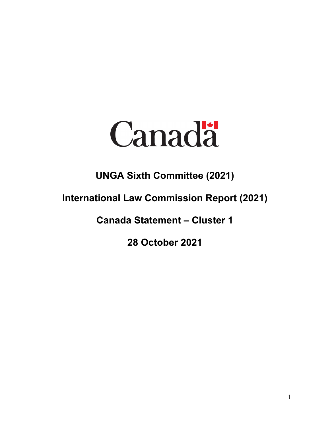

## **UNGA Sixth Committee (2021)**

## **International Law Commission Report (2021)**

**Canada Statement – Cluster 1**

**28 October 2021**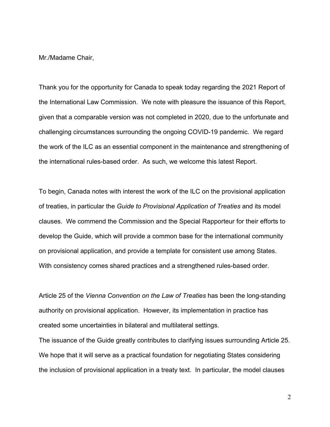Mr./Madame Chair,

Thank you for the opportunity for Canada to speak today regarding the 2021 Report of the International Law Commission. We note with pleasure the issuance of this Report, given that a comparable version was not completed in 2020, due to the unfortunate and challenging circumstances surrounding the ongoing COVID-19 pandemic. We regard the work of the ILC as an essential component in the maintenance and strengthening of the international rules-based order. As such, we welcome this latest Report.

To begin, Canada notes with interest the work of the ILC on the provisional application of treaties, in particular the *Guide to Provisional Application of Treaties* and its model clauses. We commend the Commission and the Special Rapporteur for their efforts to develop the Guide, which will provide a common base for the international community on provisional application, and provide a template for consistent use among States. With consistency comes shared practices and a strengthened rules-based order.

Article 25 of the *Vienna Convention on the Law of Treaties* has been the long-standing authority on provisional application. However, its implementation in practice has created some uncertainties in bilateral and multilateral settings.

The issuance of the Guide greatly contributes to clarifying issues surrounding Article 25. We hope that it will serve as a practical foundation for negotiating States considering the inclusion of provisional application in a treaty text. In particular, the model clauses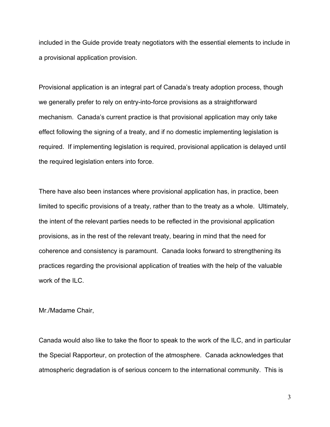included in the Guide provide treaty negotiators with the essential elements to include in a provisional application provision.

Provisional application is an integral part of Canada's treaty adoption process, though we generally prefer to rely on entry-into-force provisions as a straightforward mechanism. Canada's current practice is that provisional application may only take effect following the signing of a treaty, and if no domestic implementing legislation is required. If implementing legislation is required, provisional application is delayed until the required legislation enters into force.

There have also been instances where provisional application has, in practice, been limited to specific provisions of a treaty, rather than to the treaty as a whole. Ultimately, the intent of the relevant parties needs to be reflected in the provisional application provisions, as in the rest of the relevant treaty, bearing in mind that the need for coherence and consistency is paramount. Canada looks forward to strengthening its practices regarding the provisional application of treaties with the help of the valuable work of the ILC.

Mr./Madame Chair,

Canada would also like to take the floor to speak to the work of the ILC, and in particular the Special Rapporteur, on protection of the atmosphere. Canada acknowledges that atmospheric degradation is of serious concern to the international community. This is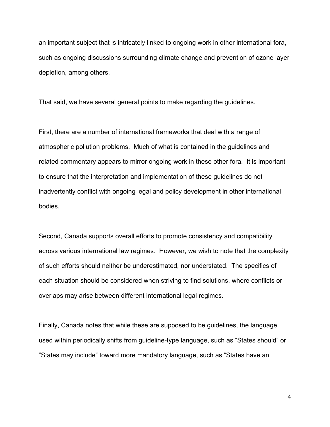an important subject that is intricately linked to ongoing work in other international fora, such as ongoing discussions surrounding climate change and prevention of ozone layer depletion, among others.

That said, we have several general points to make regarding the guidelines.

First, there are a number of international frameworks that deal with a range of atmospheric pollution problems. Much of what is contained in the guidelines and related commentary appears to mirror ongoing work in these other fora. It is important to ensure that the interpretation and implementation of these guidelines do not inadvertently conflict with ongoing legal and policy development in other international bodies.

Second, Canada supports overall efforts to promote consistency and compatibility across various international law regimes. However, we wish to note that the complexity of such efforts should neither be underestimated, nor understated. The specifics of each situation should be considered when striving to find solutions, where conflicts or overlaps may arise between different international legal regimes.

Finally, Canada notes that while these are supposed to be guidelines, the language used within periodically shifts from guideline-type language, such as "States should" or "States may include" toward more mandatory language, such as "States have an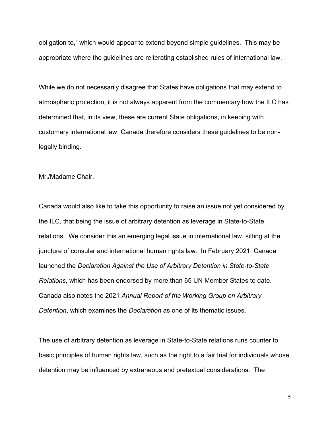obligation to," which would appear to extend beyond simple guidelines. This may be appropriate where the guidelines are reiterating established rules of international law.

While we do not necessarily disagree that States have obligations that may extend to atmospheric protection, it is not always apparent from the commentary how the ILC has determined that, in its view, these are current State obligations, in keeping with customary international law. Canada therefore considers these guidelines to be nonlegally binding.

Mr./Madame Chair,

Canada would also like to take this opportunity to raise an issue not yet considered by the ILC, that being the issue of arbitrary detention as leverage in State-to-State relations. We consider this an emerging legal issue in international law, sitting at the juncture of consular and international human rights law. In February 2021, Canada launched the *Declaration Against the Use of Arbitrary Detention in State-to-State Relations*, which has been endorsed by more than 65 UN Member States to date. Canada also notes the 2021 *Annual Report of the Working Group on Arbitrary Detention*, which examines the *Declaration* as one of its thematic issues.

The use of arbitrary detention as leverage in State-to-State relations runs counter to basic principles of human rights law, such as the right to a fair trial for individuals whose detention may be influenced by extraneous and pretextual considerations. The